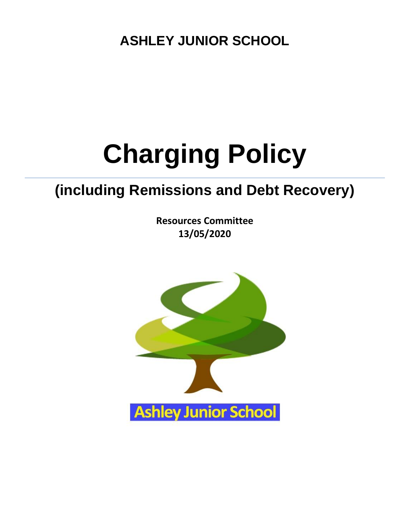**ASHLEY JUNIOR SCHOOL**

# **Charging Policy**

## **(including Remissions and Debt Recovery)**

**Resources Committee 13/05/2020**

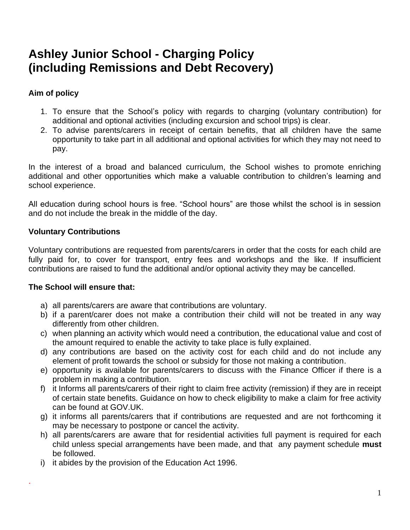### **Ashley Junior School - Charging Policy (including Remissions and Debt Recovery)**

#### **Aim of policy**

- 1. To ensure that the School's policy with regards to charging (voluntary contribution) for additional and optional activities (including excursion and school trips) is clear.
- 2. To advise parents/carers in receipt of certain benefits, that all children have the same opportunity to take part in all additional and optional activities for which they may not need to pay.

In the interest of a broad and balanced curriculum, the School wishes to promote enriching additional and other opportunities which make a valuable contribution to children's learning and school experience.

All education during school hours is free. "School hours" are those whilst the school is in session and do not include the break in the middle of the day.

#### **Voluntary Contributions**

Voluntary contributions are requested from parents/carers in order that the costs for each child are fully paid for, to cover for transport, entry fees and workshops and the like. If insufficient contributions are raised to fund the additional and/or optional activity they may be cancelled.

#### **The School will ensure that:**

.

- a) all parents/carers are aware that contributions are voluntary.
- b) if a parent/carer does not make a contribution their child will not be treated in any way differently from other children.
- c) when planning an activity which would need a contribution, the educational value and cost of the amount required to enable the activity to take place is fully explained.
- d) any contributions are based on the activity cost for each child and do not include any element of profit towards the school or subsidy for those not making a contribution.
- e) opportunity is available for parents/carers to discuss with the Finance Officer if there is a problem in making a contribution.
- f) it Informs all parents/carers of their right to claim free activity (remission) if they are in receipt of certain state benefits. Guidance on how to check eligibility to make a claim for free activity can be found at GOV.UK.
- g) it informs all parents/carers that if contributions are requested and are not forthcoming it may be necessary to postpone or cancel the activity.
- h) all parents/carers are aware that for residential activities full payment is required for each child unless special arrangements have been made, and that any payment schedule **must**  be followed.
- i) it abides by the provision of the Education Act 1996.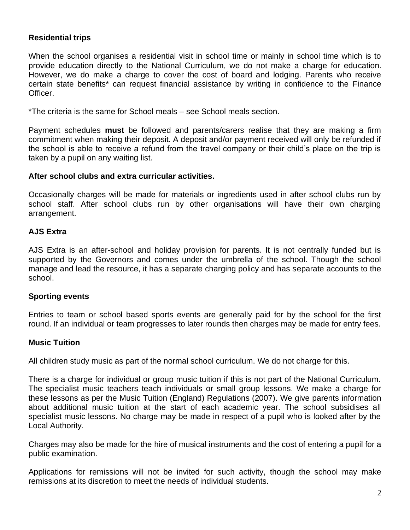#### **Residential trips**

When the school organises a residential visit in school time or mainly in school time which is to provide education directly to the National Curriculum, we do not make a charge for education. However, we do make a charge to cover the cost of board and lodging. Parents who receive certain state benefits\* can request financial assistance by writing in confidence to the Finance Officer.

\*The criteria is the same for School meals – see School meals section.

Payment schedules **must** be followed and parents/carers realise that they are making a firm commitment when making their deposit. A deposit and/or payment received will only be refunded if the school is able to receive a refund from the travel company or their child's place on the trip is taken by a pupil on any waiting list.

#### **After school clubs and extra curricular activities.**

Occasionally charges will be made for materials or ingredients used in after school clubs run by school staff. After school clubs run by other organisations will have their own charging arrangement.

#### **AJS Extra**

AJS Extra is an after-school and holiday provision for parents. It is not centrally funded but is supported by the Governors and comes under the umbrella of the school. Though the school manage and lead the resource, it has a separate charging policy and has separate accounts to the school.

#### **Sporting events**

Entries to team or school based sports events are generally paid for by the school for the first round. If an individual or team progresses to later rounds then charges may be made for entry fees.

#### **Music Tuition**

All children study music as part of the normal school curriculum. We do not charge for this.

There is a charge for individual or group music tuition if this is not part of the National Curriculum. The specialist music teachers teach individuals or small group lessons. We make a charge for these lessons as per the Music Tuition (England) Regulations (2007). We give parents information about additional music tuition at the start of each academic year. The school subsidises all specialist music lessons. No charge may be made in respect of a pupil who is looked after by the Local Authority.

Charges may also be made for the hire of musical instruments and the cost of entering a pupil for a public examination.

Applications for remissions will not be invited for such activity, though the school may make remissions at its discretion to meet the needs of individual students.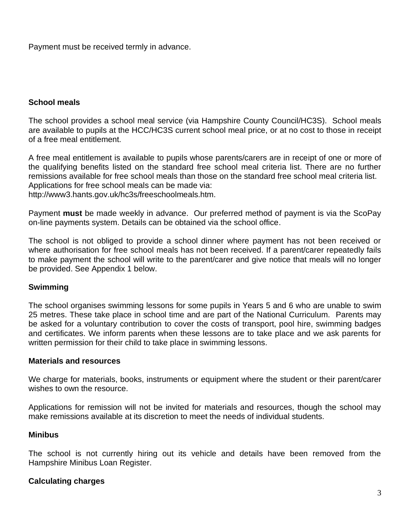Payment must be received termly in advance.

#### **School meals**

The school provides a school meal service (via Hampshire County Council/HC3S). School meals are available to pupils at the HCC/HC3S current school meal price, or at no cost to those in receipt of a free meal entitlement.

A free meal entitlement is available to pupils whose parents/carers are in receipt of one or more of the qualifying benefits listed on the standard free school meal criteria list. There are no further remissions available for free school meals than those on the standard free school meal criteria list. Applications for free school meals can be made via: http://www3.hants.gov.uk/hc3s/freeschoolmeals.htm.

Payment **must** be made weekly in advance. Our preferred method of payment is via the ScoPay on-line payments system. Details can be obtained via the school office.

The school is not obliged to provide a school dinner where payment has not been received or where authorisation for free school meals has not been received. If a parent/carer repeatedly fails to make payment the school will write to the parent/carer and give notice that meals will no longer be provided. See Appendix 1 below.

#### **Swimming**

The school organises swimming lessons for some pupils in Years 5 and 6 who are unable to swim 25 metres. These take place in school time and are part of the National Curriculum. Parents may be asked for a voluntary contribution to cover the costs of transport, pool hire, swimming badges and certificates. We inform parents when these lessons are to take place and we ask parents for written permission for their child to take place in swimming lessons.

#### **Materials and resources**

We charge for materials, books, instruments or equipment where the student or their parent/carer wishes to own the resource.

Applications for remission will not be invited for materials and resources, though the school may make remissions available at its discretion to meet the needs of individual students.

#### **Minibus**

The school is not currently hiring out its vehicle and details have been removed from the Hampshire Minibus Loan Register.

#### **Calculating charges**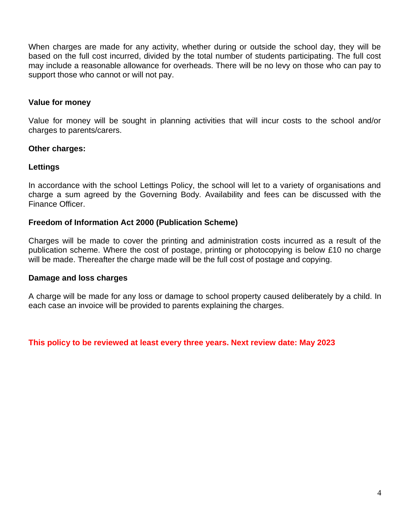When charges are made for any activity, whether during or outside the school day, they will be based on the full cost incurred, divided by the total number of students participating. The full cost may include a reasonable allowance for overheads. There will be no levy on those who can pay to support those who cannot or will not pay.

#### **Value for money**

Value for money will be sought in planning activities that will incur costs to the school and/or charges to parents/carers.

#### **Other charges:**

#### **Lettings**

In accordance with the school Lettings Policy, the school will let to a variety of organisations and charge a sum agreed by the Governing Body. Availability and fees can be discussed with the Finance Officer.

#### **Freedom of Information Act 2000 (Publication Scheme)**

Charges will be made to cover the printing and administration costs incurred as a result of the publication scheme. Where the cost of postage, printing or photocopying is below £10 no charge will be made. Thereafter the charge made will be the full cost of postage and copying.

#### **Damage and loss charges**

A charge will be made for any loss or damage to school property caused deliberately by a child. In each case an invoice will be provided to parents explaining the charges.

**This policy to be reviewed at least every three years. Next review date: May 2023**